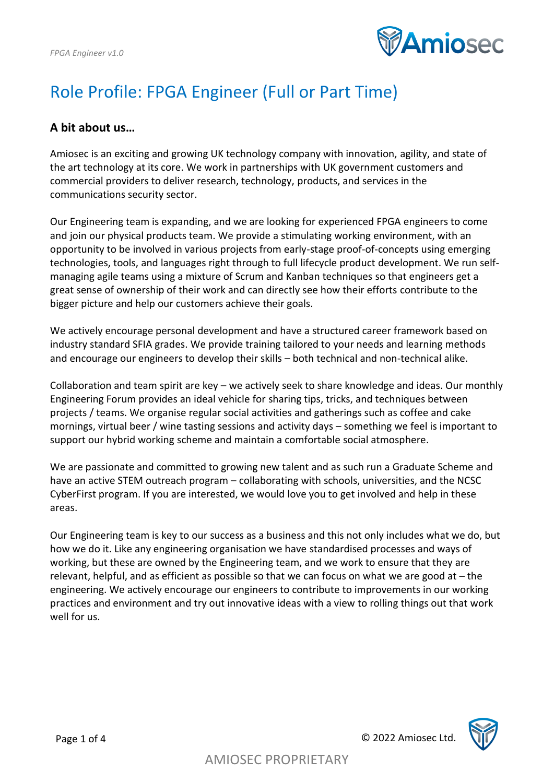

# Role Profile: FPGA Engineer (Full or Part Time)

#### **A bit about us…**

Amiosec is an exciting and growing UK technology company with innovation, agility, and state of the art technology at its core. We work in partnerships with UK government customers and commercial providers to deliver research, technology, products, and services in the communications security sector.

Our Engineering team is expanding, and we are looking for experienced FPGA engineers to come and join our physical products team. We provide a stimulating working environment, with an opportunity to be involved in various projects from early-stage proof-of-concepts using emerging technologies, tools, and languages right through to full lifecycle product development. We run selfmanaging agile teams using a mixture of Scrum and Kanban techniques so that engineers get a great sense of ownership of their work and can directly see how their efforts contribute to the bigger picture and help our customers achieve their goals.

We actively encourage personal development and have a structured career framework based on industry standard SFIA grades. We provide training tailored to your needs and learning methods and encourage our engineers to develop their skills – both technical and non-technical alike.

Collaboration and team spirit are key – we actively seek to share knowledge and ideas. Our monthly Engineering Forum provides an ideal vehicle for sharing tips, tricks, and techniques between projects / teams. We organise regular social activities and gatherings such as coffee and cake mornings, virtual beer / wine tasting sessions and activity days – something we feel is important to support our hybrid working scheme and maintain a comfortable social atmosphere.

We are passionate and committed to growing new talent and as such run a Graduate Scheme and have an active STEM outreach program – collaborating with schools, universities, and the NCSC CyberFirst program. If you are interested, we would love you to get involved and help in these areas.

Our Engineering team is key to our success as a business and this not only includes what we do, but how we do it. Like any engineering organisation we have standardised processes and ways of working, but these are owned by the Engineering team, and we work to ensure that they are relevant, helpful, and as efficient as possible so that we can focus on what we are good at – the engineering. We actively encourage our engineers to contribute to improvements in our working practices and environment and try out innovative ideas with a view to rolling things out that work well for us.

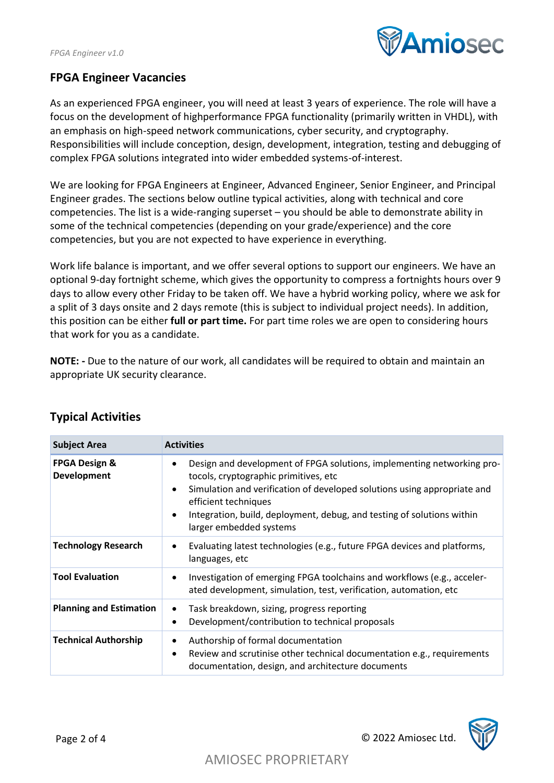

### **FPGA Engineer Vacancies**

As an experienced FPGA engineer, you will need at least 3 years of experience. The role will have a focus on the development of highperformance FPGA functionality (primarily written in VHDL), with an emphasis on high-speed network communications, cyber security, and cryptography. Responsibilities will include conception, design, development, integration, testing and debugging of complex FPGA solutions integrated into wider embedded systems-of-interest.

We are looking for FPGA Engineers at Engineer, Advanced Engineer, Senior Engineer, and Principal Engineer grades. The sections below outline typical activities, along with technical and core competencies. The list is a wide-ranging superset – you should be able to demonstrate ability in some of the technical competencies (depending on your grade/experience) and the core competencies, but you are not expected to have experience in everything.

Work life balance is important, and we offer several options to support our engineers. We have an optional 9-day fortnight scheme, which gives the opportunity to compress a fortnights hours over 9 days to allow every other Friday to be taken off. We have a hybrid working policy, where we ask for a split of 3 days onsite and 2 days remote (this is subject to individual project needs). In addition, this position can be either **full or part time.** For part time roles we are open to considering hours that work for you as a candidate.

**NOTE: -** Due to the nature of our work, all candidates will be required to obtain and maintain an appropriate UK security clearance.

| <b>Subject Area</b>                     | <b>Activities</b>                                                                                                                                                                                                                                                                                                                                               |
|-----------------------------------------|-----------------------------------------------------------------------------------------------------------------------------------------------------------------------------------------------------------------------------------------------------------------------------------------------------------------------------------------------------------------|
| <b>FPGA Design &amp;</b><br>Development | Design and development of FPGA solutions, implementing networking pro-<br>$\bullet$<br>tocols, cryptographic primitives, etc<br>Simulation and verification of developed solutions using appropriate and<br>$\bullet$<br>efficient techniques<br>Integration, build, deployment, debug, and testing of solutions within<br>$\bullet$<br>larger embedded systems |
| <b>Technology Research</b>              | Evaluating latest technologies (e.g., future FPGA devices and platforms,<br>٠<br>languages, etc                                                                                                                                                                                                                                                                 |
| <b>Tool Evaluation</b>                  | Investigation of emerging FPGA toolchains and workflows (e.g., acceler-<br>$\bullet$<br>ated development, simulation, test, verification, automation, etc                                                                                                                                                                                                       |
| <b>Planning and Estimation</b>          | Task breakdown, sizing, progress reporting<br>٠<br>Development/contribution to technical proposals<br>$\bullet$                                                                                                                                                                                                                                                 |
| <b>Technical Authorship</b>             | Authorship of formal documentation<br>٠<br>Review and scrutinise other technical documentation e.g., requirements<br>$\bullet$<br>documentation, design, and architecture documents                                                                                                                                                                             |

#### **Typical Activities**

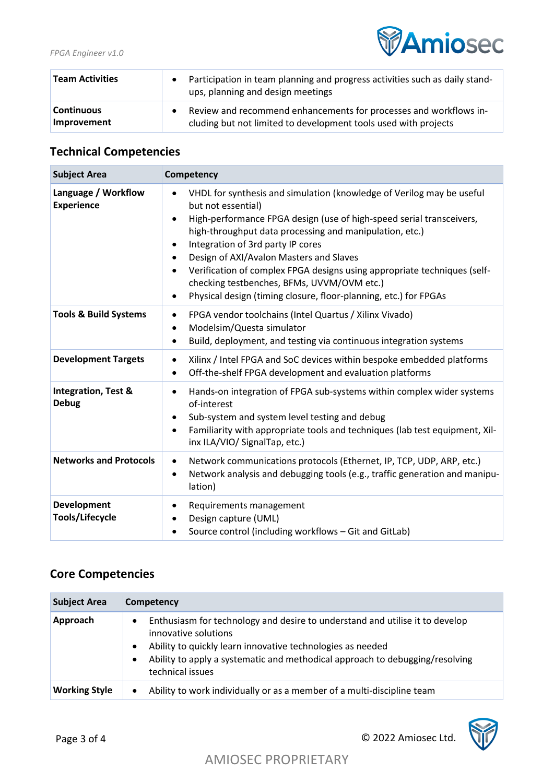

| <b>Team Activities</b>           | $\bullet$ | Participation in team planning and progress activities such as daily stand-<br>ups, planning and design meetings                     |
|----------------------------------|-----------|--------------------------------------------------------------------------------------------------------------------------------------|
| <b>Continuous</b><br>Improvement | $\bullet$ | Review and recommend enhancements for processes and workflows in-<br>cluding but not limited to development tools used with projects |

# **Technical Competencies**

| <b>Subject Area</b>                            | Competency                                                                                                                                                                                                                                                                                                                                                                                                                                                                                                                                                                                 |
|------------------------------------------------|--------------------------------------------------------------------------------------------------------------------------------------------------------------------------------------------------------------------------------------------------------------------------------------------------------------------------------------------------------------------------------------------------------------------------------------------------------------------------------------------------------------------------------------------------------------------------------------------|
| Language / Workflow<br><b>Experience</b>       | VHDL for synthesis and simulation (knowledge of Verilog may be useful<br>$\bullet$<br>but not essential)<br>High-performance FPGA design (use of high-speed serial transceivers,<br>$\bullet$<br>high-throughput data processing and manipulation, etc.)<br>Integration of 3rd party IP cores<br>$\bullet$<br>Design of AXI/Avalon Masters and Slaves<br>$\bullet$<br>Verification of complex FPGA designs using appropriate techniques (self-<br>$\bullet$<br>checking testbenches, BFMs, UVVM/OVM etc.)<br>Physical design (timing closure, floor-planning, etc.) for FPGAs<br>$\bullet$ |
| <b>Tools &amp; Build Systems</b>               | FPGA vendor toolchains (Intel Quartus / Xilinx Vivado)<br>$\bullet$<br>Modelsim/Questa simulator<br>$\bullet$<br>Build, deployment, and testing via continuous integration systems<br>$\bullet$                                                                                                                                                                                                                                                                                                                                                                                            |
| <b>Development Targets</b>                     | Xilinx / Intel FPGA and SoC devices within bespoke embedded platforms<br>$\bullet$<br>Off-the-shelf FPGA development and evaluation platforms<br>$\bullet$                                                                                                                                                                                                                                                                                                                                                                                                                                 |
| <b>Integration, Test &amp;</b><br><b>Debug</b> | Hands-on integration of FPGA sub-systems within complex wider systems<br>$\bullet$<br>of-interest<br>Sub-system and system level testing and debug<br>$\bullet$<br>Familiarity with appropriate tools and techniques (lab test equipment, Xil-<br>$\bullet$<br>inx ILA/VIO/ SignalTap, etc.)                                                                                                                                                                                                                                                                                               |
| <b>Networks and Protocols</b>                  | Network communications protocols (Ethernet, IP, TCP, UDP, ARP, etc.)<br>$\bullet$<br>Network analysis and debugging tools (e.g., traffic generation and manipu-<br>$\bullet$<br>lation)                                                                                                                                                                                                                                                                                                                                                                                                    |
| <b>Development</b><br>Tools/Lifecycle          | Requirements management<br>٠<br>Design capture (UML)<br>$\bullet$<br>Source control (including workflows - Git and GitLab)<br>$\bullet$                                                                                                                                                                                                                                                                                                                                                                                                                                                    |

## **Core Competencies**

| <b>Subject Area</b>  | Competency                                                                                                                                                                                                                                                             |  |
|----------------------|------------------------------------------------------------------------------------------------------------------------------------------------------------------------------------------------------------------------------------------------------------------------|--|
| Approach             | Enthusiasm for technology and desire to understand and utilise it to develop<br>innovative solutions<br>Ability to quickly learn innovative technologies as needed<br>Ability to apply a systematic and methodical approach to debugging/resolving<br>technical issues |  |
| <b>Working Style</b> | Ability to work individually or as a member of a multi-discipline team<br>$\bullet$                                                                                                                                                                                    |  |